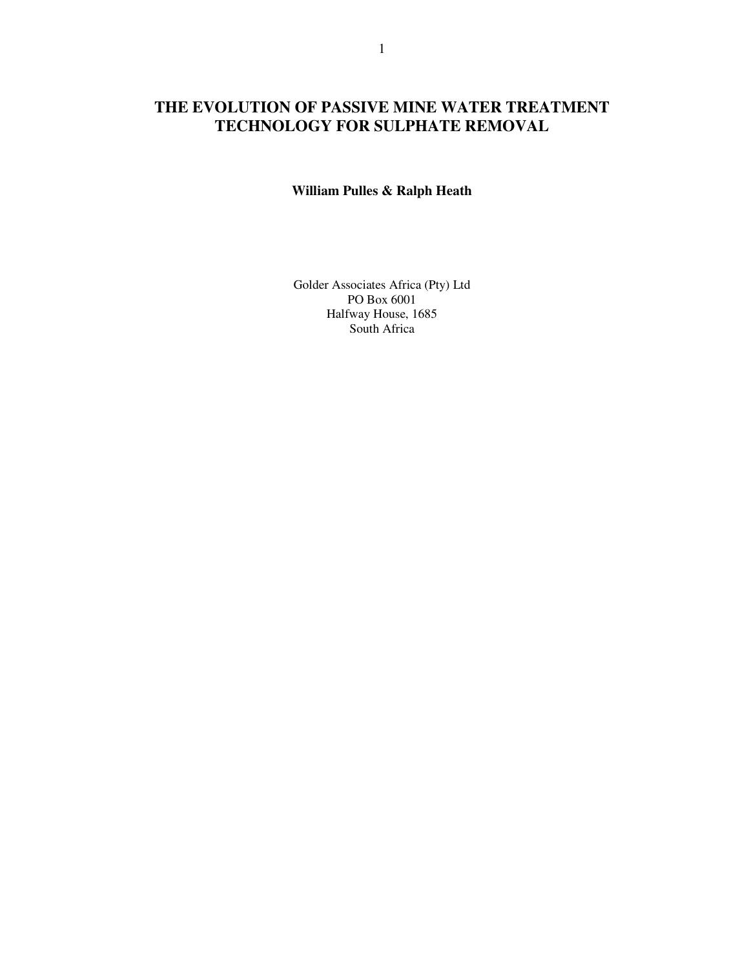# **THE EVOLUTION OF PASSIVE MINE WATER TREATMENT TECHNOLOGY FOR SULPHATE REMOVAL**

# **William Pulles & Ralph Heath**

Golder Associates Africa (Pty) Ltd PO Box 6001 Halfway House, 1685 South Africa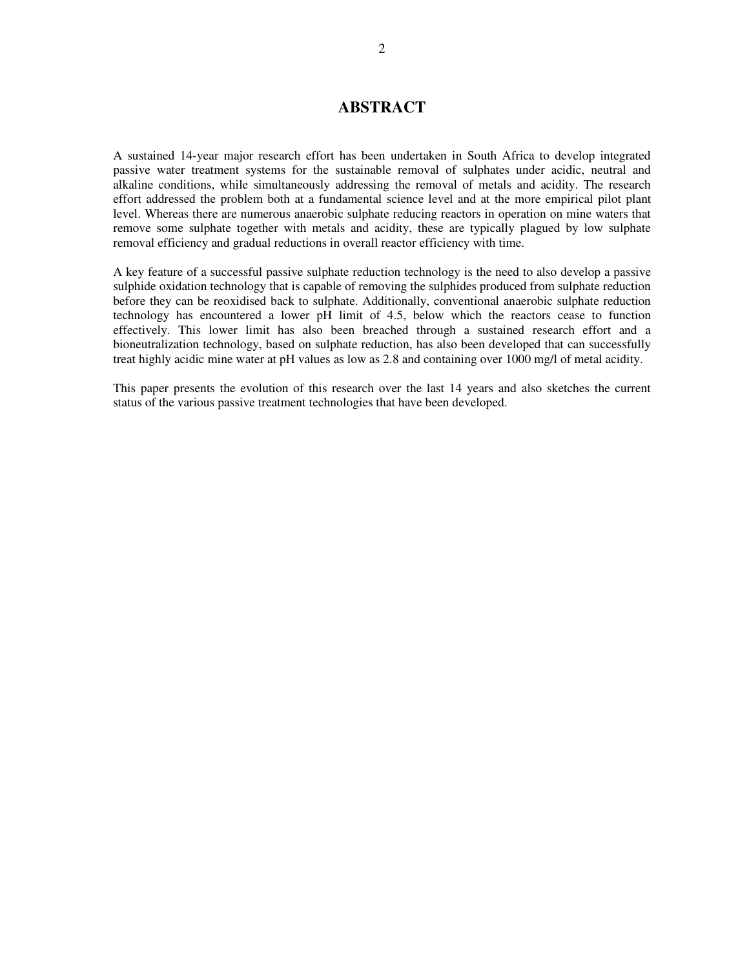# **ABSTRACT**

A sustained 14-year major research effort has been undertaken in South Africa to develop integrated passive water treatment systems for the sustainable removal of sulphates under acidic, neutral and alkaline conditions, while simultaneously addressing the removal of metals and acidity. The research effort addressed the problem both at a fundamental science level and at the more empirical pilot plant level. Whereas there are numerous anaerobic sulphate reducing reactors in operation on mine waters that remove some sulphate together with metals and acidity, these are typically plagued by low sulphate removal efficiency and gradual reductions in overall reactor efficiency with time.

A key feature of a successful passive sulphate reduction technology is the need to also develop a passive sulphide oxidation technology that is capable of removing the sulphides produced from sulphate reduction before they can be reoxidised back to sulphate. Additionally, conventional anaerobic sulphate reduction technology has encountered a lower pH limit of 4.5, below which the reactors cease to function effectively. This lower limit has also been breached through a sustained research effort and a bioneutralization technology, based on sulphate reduction, has also been developed that can successfully treat highly acidic mine water at pH values as low as 2.8 and containing over 1000 mg/l of metal acidity.

This paper presents the evolution of this research over the last 14 years and also sketches the current status of the various passive treatment technologies that have been developed.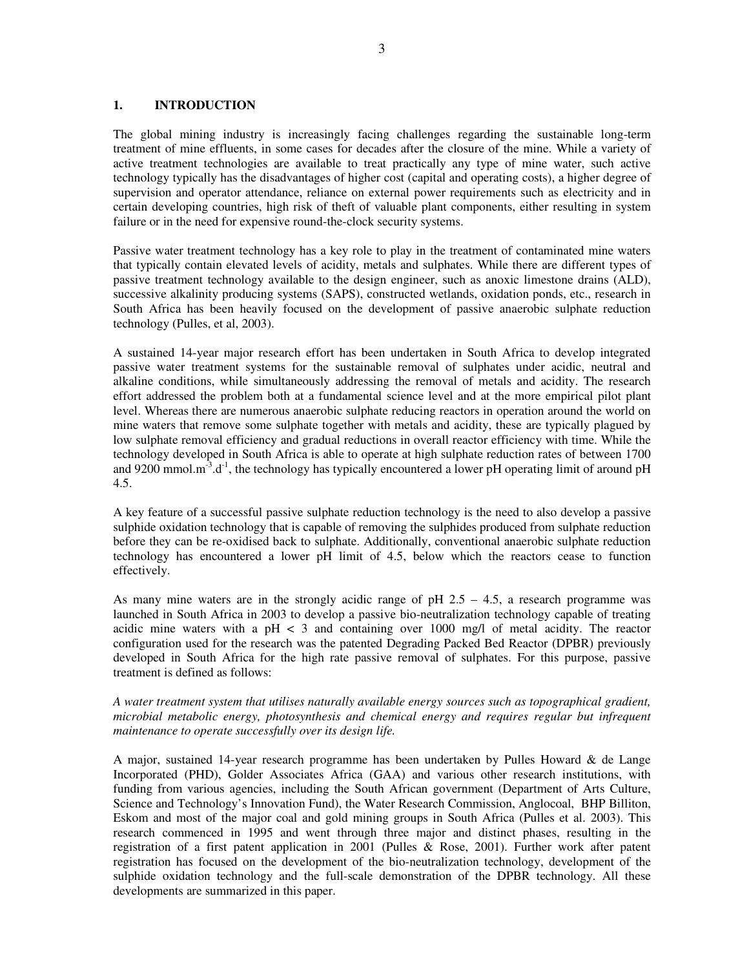#### **1. INTRODUCTION**

The global mining industry is increasingly facing challenges regarding the sustainable long-term treatment of mine effluents, in some cases for decades after the closure of the mine. While a variety of active treatment technologies are available to treat practically any type of mine water, such active technology typically has the disadvantages of higher cost (capital and operating costs), a higher degree of supervision and operator attendance, reliance on external power requirements such as electricity and in certain developing countries, high risk of theft of valuable plant components, either resulting in system failure or in the need for expensive round-the-clock security systems.

Passive water treatment technology has a key role to play in the treatment of contaminated mine waters that typically contain elevated levels of acidity, metals and sulphates. While there are different types of passive treatment technology available to the design engineer, such as anoxic limestone drains (ALD), successive alkalinity producing systems (SAPS), constructed wetlands, oxidation ponds, etc., research in South Africa has been heavily focused on the development of passive anaerobic sulphate reduction technology (Pulles, et al, 2003).

A sustained 14-year major research effort has been undertaken in South Africa to develop integrated passive water treatment systems for the sustainable removal of sulphates under acidic, neutral and alkaline conditions, while simultaneously addressing the removal of metals and acidity. The research effort addressed the problem both at a fundamental science level and at the more empirical pilot plant level. Whereas there are numerous anaerobic sulphate reducing reactors in operation around the world on mine waters that remove some sulphate together with metals and acidity, these are typically plagued by low sulphate removal efficiency and gradual reductions in overall reactor efficiency with time. While the technology developed in South Africa is able to operate at high sulphate reduction rates of between 1700 and 9200 mmol.m<sup>-3</sup>.d<sup>-1</sup>, the technology has typically encountered a lower pH operating limit of around pH 4.5.

A key feature of a successful passive sulphate reduction technology is the need to also develop a passive sulphide oxidation technology that is capable of removing the sulphides produced from sulphate reduction before they can be re-oxidised back to sulphate. Additionally, conventional anaerobic sulphate reduction technology has encountered a lower pH limit of 4.5, below which the reactors cease to function effectively.

As many mine waters are in the strongly acidic range of pH  $2.5 - 4.5$ , a research programme was launched in South Africa in 2003 to develop a passive bio-neutralization technology capable of treating acidic mine waters with a  $pH < 3$  and containing over 1000 mg/l of metal acidity. The reactor configuration used for the research was the patented Degrading Packed Bed Reactor (DPBR) previously developed in South Africa for the high rate passive removal of sulphates. For this purpose, passive treatment is defined as follows:

# *A water treatment system that utilises naturally available energy sources such as topographical gradient, microbial metabolic energy, photosynthesis and chemical energy and requires regular but infrequent maintenance to operate successfully over its design life.*

A major, sustained 14-year research programme has been undertaken by Pulles Howard & de Lange Incorporated (PHD), Golder Associates Africa (GAA) and various other research institutions, with funding from various agencies, including the South African government (Department of Arts Culture, Science and Technology's Innovation Fund), the Water Research Commission, Anglocoal, BHP Billiton, Eskom and most of the major coal and gold mining groups in South Africa (Pulles et al. 2003). This research commenced in 1995 and went through three major and distinct phases, resulting in the registration of a first patent application in 2001 (Pulles & Rose, 2001). Further work after patent registration has focused on the development of the bio-neutralization technology, development of the sulphide oxidation technology and the full-scale demonstration of the DPBR technology. All these developments are summarized in this paper.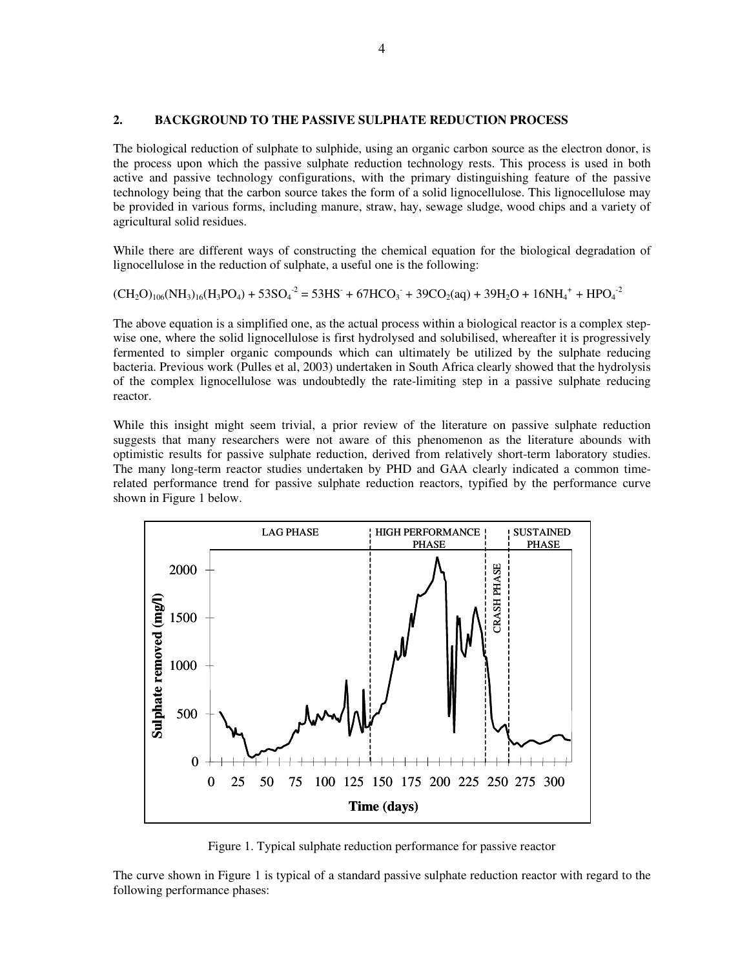#### **2. BACKGROUND TO THE PASSIVE SULPHATE REDUCTION PROCESS**

The biological reduction of sulphate to sulphide, using an organic carbon source as the electron donor, is the process upon which the passive sulphate reduction technology rests. This process is used in both active and passive technology configurations, with the primary distinguishing feature of the passive technology being that the carbon source takes the form of a solid lignocellulose. This lignocellulose may be provided in various forms, including manure, straw, hay, sewage sludge, wood chips and a variety of agricultural solid residues.

While there are different ways of constructing the chemical equation for the biological degradation of lignocellulose in the reduction of sulphate, a useful one is the following:

$$
(CH2O)106(NH3)16(H3PO4) + 53SO4-2 = 53HS- + 67HCO3- + 39CO2(aq) + 39H2O + 16NH4+ + HPO4-2
$$

The above equation is a simplified one, as the actual process within a biological reactor is a complex stepwise one, where the solid lignocellulose is first hydrolysed and solubilised, whereafter it is progressively fermented to simpler organic compounds which can ultimately be utilized by the sulphate reducing bacteria. Previous work (Pulles et al, 2003) undertaken in South Africa clearly showed that the hydrolysis of the complex lignocellulose was undoubtedly the rate-limiting step in a passive sulphate reducing reactor.

While this insight might seem trivial, a prior review of the literature on passive sulphate reduction suggests that many researchers were not aware of this phenomenon as the literature abounds with optimistic results for passive sulphate reduction, derived from relatively short-term laboratory studies. The many long-term reactor studies undertaken by PHD and GAA clearly indicated a common timerelated performance trend for passive sulphate reduction reactors, typified by the performance curve shown in Figure 1 below.



Figure 1. Typical sulphate reduction performance for passive reactor

The curve shown in Figure 1 is typical of a standard passive sulphate reduction reactor with regard to the following performance phases: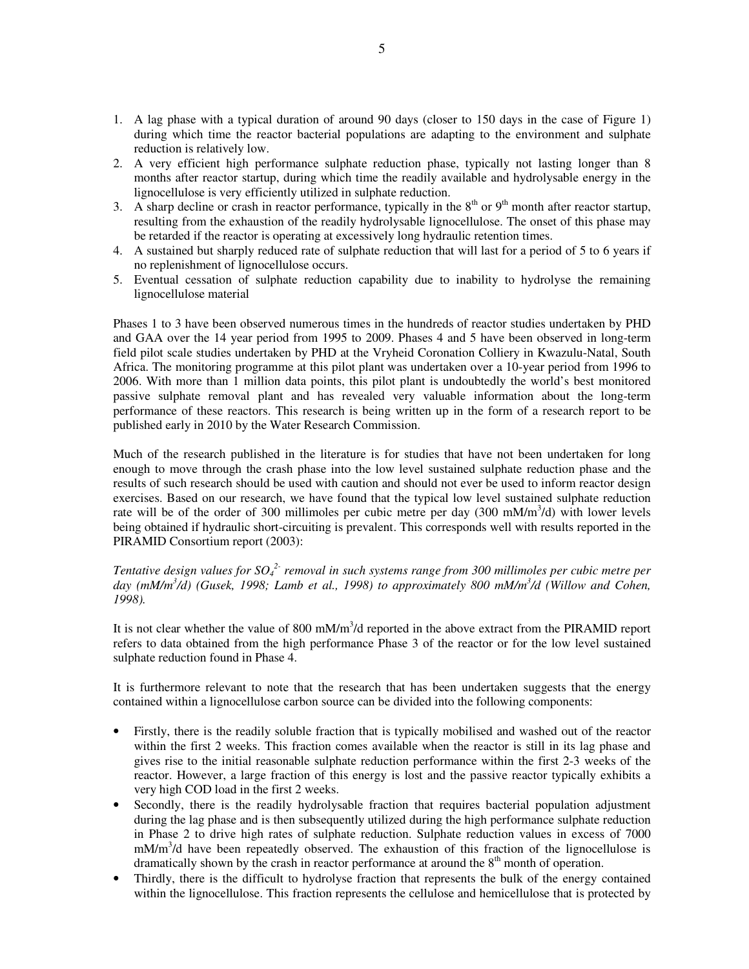- 1. A lag phase with a typical duration of around 90 days (closer to 150 days in the case of Figure 1) during which time the reactor bacterial populations are adapting to the environment and sulphate reduction is relatively low.
- 2. A very efficient high performance sulphate reduction phase, typically not lasting longer than 8 months after reactor startup, during which time the readily available and hydrolysable energy in the lignocellulose is very efficiently utilized in sulphate reduction.
- 3. A sharp decline or crash in reactor performance, typically in the  $8<sup>th</sup>$  or  $9<sup>th</sup>$  month after reactor startup, resulting from the exhaustion of the readily hydrolysable lignocellulose. The onset of this phase may be retarded if the reactor is operating at excessively long hydraulic retention times.
- 4. A sustained but sharply reduced rate of sulphate reduction that will last for a period of 5 to 6 years if no replenishment of lignocellulose occurs.
- 5. Eventual cessation of sulphate reduction capability due to inability to hydrolyse the remaining lignocellulose material

Phases 1 to 3 have been observed numerous times in the hundreds of reactor studies undertaken by PHD and GAA over the 14 year period from 1995 to 2009. Phases 4 and 5 have been observed in long-term field pilot scale studies undertaken by PHD at the Vryheid Coronation Colliery in Kwazulu-Natal, South Africa. The monitoring programme at this pilot plant was undertaken over a 10-year period from 1996 to 2006. With more than 1 million data points, this pilot plant is undoubtedly the world's best monitored passive sulphate removal plant and has revealed very valuable information about the long-term performance of these reactors. This research is being written up in the form of a research report to be published early in 2010 by the Water Research Commission.

Much of the research published in the literature is for studies that have not been undertaken for long enough to move through the crash phase into the low level sustained sulphate reduction phase and the results of such research should be used with caution and should not ever be used to inform reactor design exercises. Based on our research, we have found that the typical low level sustained sulphate reduction rate will be of the order of 300 millimoles per cubic metre per day (300 mM/m<sup>3</sup>/d) with lower levels being obtained if hydraulic short-circuiting is prevalent. This corresponds well with results reported in the PIRAMID Consortium report (2003):

*Tentative design values for SO<sub>4</sub><sup>2</sup> removal in such systems range from 300 millimoles per cubic metre per day (mM/m<sup>3</sup> /d) (Gusek, 1998; Lamb et al., 1998) to approximately 800 mM/m<sup>3</sup> /d (Willow and Cohen, 1998).* 

It is not clear whether the value of 800 mM/ $m<sup>3</sup>/d$  reported in the above extract from the PIRAMID report refers to data obtained from the high performance Phase 3 of the reactor or for the low level sustained sulphate reduction found in Phase 4.

It is furthermore relevant to note that the research that has been undertaken suggests that the energy contained within a lignocellulose carbon source can be divided into the following components:

- Firstly, there is the readily soluble fraction that is typically mobilised and washed out of the reactor within the first 2 weeks. This fraction comes available when the reactor is still in its lag phase and gives rise to the initial reasonable sulphate reduction performance within the first 2-3 weeks of the reactor. However, a large fraction of this energy is lost and the passive reactor typically exhibits a very high COD load in the first 2 weeks.
- Secondly, there is the readily hydrolysable fraction that requires bacterial population adjustment during the lag phase and is then subsequently utilized during the high performance sulphate reduction in Phase 2 to drive high rates of sulphate reduction. Sulphate reduction values in excess of 7000 mM/m<sup>3</sup>/d have been repeatedly observed. The exhaustion of this fraction of the lignocellulose is dramatically shown by the crash in reactor performance at around the  $8<sup>th</sup>$  month of operation.
- Thirdly, there is the difficult to hydrolyse fraction that represents the bulk of the energy contained within the lignocellulose. This fraction represents the cellulose and hemicellulose that is protected by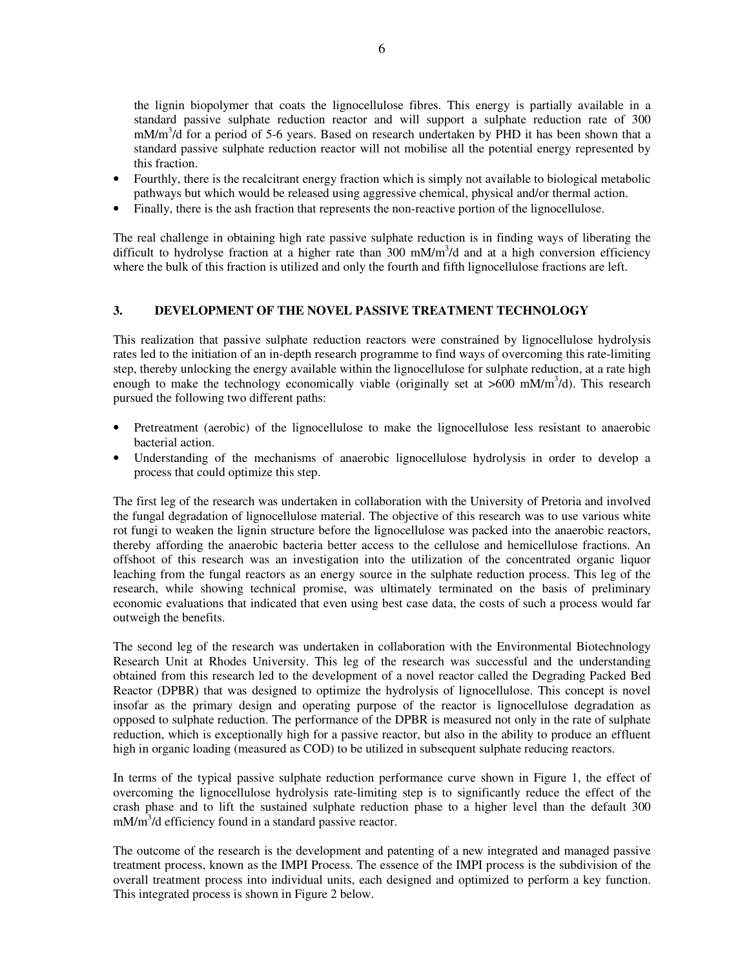the lignin biopolymer that coats the lignocellulose fibres. This energy is partially available in a standard passive sulphate reduction reactor and will support a sulphate reduction rate of 300 mM/m<sup>3</sup>/d for a period of 5-6 years. Based on research undertaken by PHD it has been shown that a standard passive sulphate reduction reactor will not mobilise all the potential energy represented by this fraction.

- Fourthly, there is the recalcitrant energy fraction which is simply not available to biological metabolic pathways but which would be released using aggressive chemical, physical and/or thermal action.
- Finally, there is the ash fraction that represents the non-reactive portion of the lignocellulose.

The real challenge in obtaining high rate passive sulphate reduction is in finding ways of liberating the difficult to hydrolyse fraction at a higher rate than  $300 \text{ mM/m}^3$ /d and at a high conversion efficiency where the bulk of this fraction is utilized and only the fourth and fifth lignocellulose fractions are left.

# **3. DEVELOPMENT OF THE NOVEL PASSIVE TREATMENT TECHNOLOGY**

This realization that passive sulphate reduction reactors were constrained by lignocellulose hydrolysis rates led to the initiation of an in-depth research programme to find ways of overcoming this rate-limiting step, thereby unlocking the energy available within the lignocellulose for sulphate reduction, at a rate high enough to make the technology economically viable (originally set at  $>600$  mM/m<sup>3</sup>/d). This research pursued the following two different paths:

- Pretreatment (aerobic) of the lignocellulose to make the lignocellulose less resistant to anaerobic bacterial action.
- Understanding of the mechanisms of anaerobic lignocellulose hydrolysis in order to develop a process that could optimize this step.

The first leg of the research was undertaken in collaboration with the University of Pretoria and involved the fungal degradation of lignocellulose material. The objective of this research was to use various white rot fungi to weaken the lignin structure before the lignocellulose was packed into the anaerobic reactors, thereby affording the anaerobic bacteria better access to the cellulose and hemicellulose fractions. An offshoot of this research was an investigation into the utilization of the concentrated organic liquor leaching from the fungal reactors as an energy source in the sulphate reduction process. This leg of the research, while showing technical promise, was ultimately terminated on the basis of preliminary economic evaluations that indicated that even using best case data, the costs of such a process would far outweigh the benefits.

The second leg of the research was undertaken in collaboration with the Environmental Biotechnology Research Unit at Rhodes University. This leg of the research was successful and the understanding obtained from this research led to the development of a novel reactor called the Degrading Packed Bed Reactor (DPBR) that was designed to optimize the hydrolysis of lignocellulose. This concept is novel insofar as the primary design and operating purpose of the reactor is lignocellulose degradation as opposed to sulphate reduction. The performance of the DPBR is measured not only in the rate of sulphate reduction, which is exceptionally high for a passive reactor, but also in the ability to produce an effluent high in organic loading (measured as COD) to be utilized in subsequent sulphate reducing reactors.

In terms of the typical passive sulphate reduction performance curve shown in Figure 1, the effect of overcoming the lignocellulose hydrolysis rate-limiting step is to significantly reduce the effect of the crash phase and to lift the sustained sulphate reduction phase to a higher level than the default 300 mM/m<sup>3</sup>/d efficiency found in a standard passive reactor.

The outcome of the research is the development and patenting of a new integrated and managed passive treatment process, known as the IMPI Process. The essence of the IMPI process is the subdivision of the overall treatment process into individual units, each designed and optimized to perform a key function. This integrated process is shown in Figure 2 below.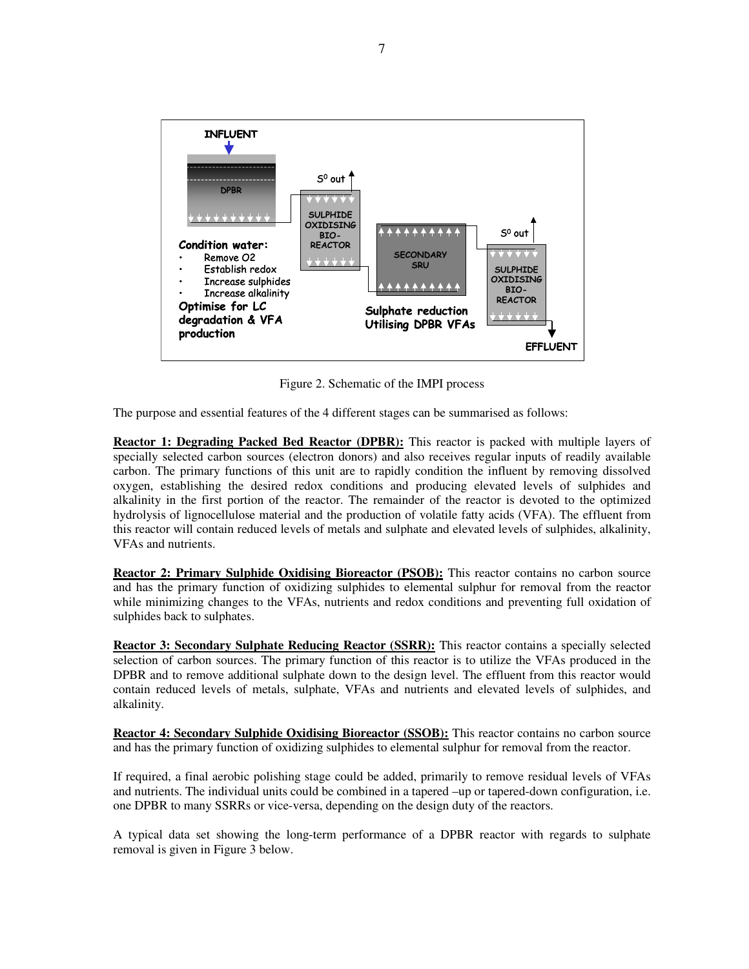

Figure 2. Schematic of the IMPI process

The purpose and essential features of the 4 different stages can be summarised as follows:

**Reactor 1: Degrading Packed Bed Reactor (DPBR):** This reactor is packed with multiple layers of specially selected carbon sources (electron donors) and also receives regular inputs of readily available carbon. The primary functions of this unit are to rapidly condition the influent by removing dissolved oxygen, establishing the desired redox conditions and producing elevated levels of sulphides and alkalinity in the first portion of the reactor. The remainder of the reactor is devoted to the optimized hydrolysis of lignocellulose material and the production of volatile fatty acids (VFA). The effluent from this reactor will contain reduced levels of metals and sulphate and elevated levels of sulphides, alkalinity, VFAs and nutrients.

**Reactor 2: Primary Sulphide Oxidising Bioreactor (PSOB):** This reactor contains no carbon source and has the primary function of oxidizing sulphides to elemental sulphur for removal from the reactor while minimizing changes to the VFAs, nutrients and redox conditions and preventing full oxidation of sulphides back to sulphates.

**Reactor 3: Secondary Sulphate Reducing Reactor (SSRR):** This reactor contains a specially selected selection of carbon sources. The primary function of this reactor is to utilize the VFAs produced in the DPBR and to remove additional sulphate down to the design level. The effluent from this reactor would contain reduced levels of metals, sulphate, VFAs and nutrients and elevated levels of sulphides, and alkalinity.

**Reactor 4: Secondary Sulphide Oxidising Bioreactor (SSOB):** This reactor contains no carbon source and has the primary function of oxidizing sulphides to elemental sulphur for removal from the reactor.

If required, a final aerobic polishing stage could be added, primarily to remove residual levels of VFAs and nutrients. The individual units could be combined in a tapered –up or tapered-down configuration, i.e. one DPBR to many SSRRs or vice-versa, depending on the design duty of the reactors.

A typical data set showing the long-term performance of a DPBR reactor with regards to sulphate removal is given in Figure 3 below.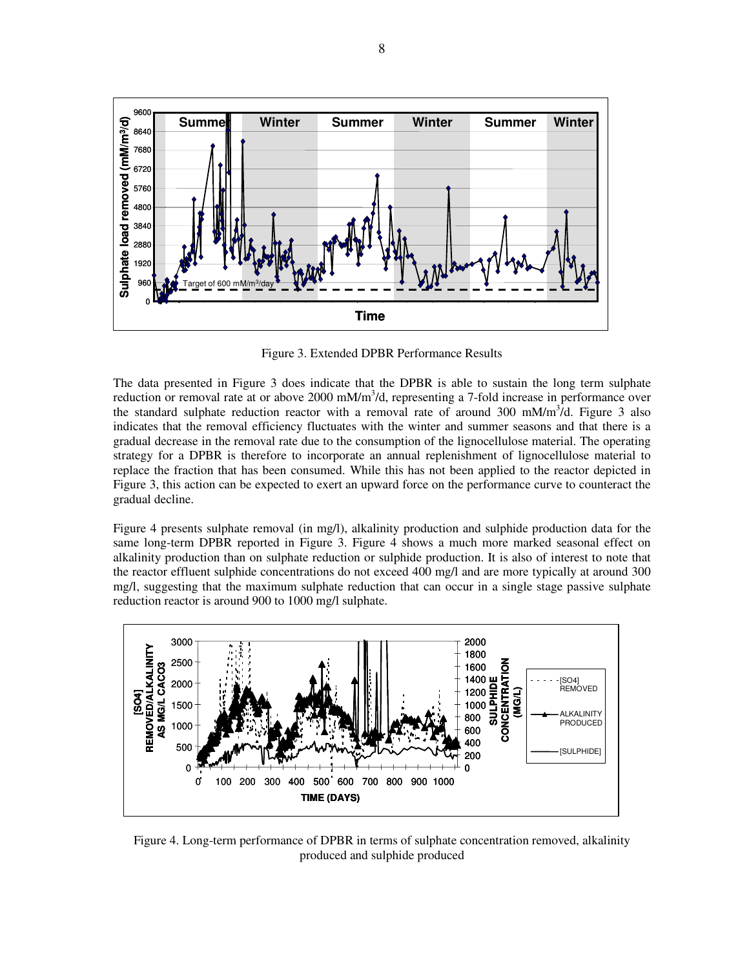

Figure 3. Extended DPBR Performance Results

The data presented in Figure 3 does indicate that the DPBR is able to sustain the long term sulphate reduction or removal rate at or above 2000 mM/m<sup>3</sup>/d, representing a 7-fold increase in performance over the standard sulphate reduction reactor with a removal rate of around  $300 \text{ mM/m}^3/d$ . Figure 3 also indicates that the removal efficiency fluctuates with the winter and summer seasons and that there is a gradual decrease in the removal rate due to the consumption of the lignocellulose material. The operating strategy for a DPBR is therefore to incorporate an annual replenishment of lignocellulose material to replace the fraction that has been consumed. While this has not been applied to the reactor depicted in Figure 3, this action can be expected to exert an upward force on the performance curve to counteract the gradual decline.

Figure 4 presents sulphate removal (in mg/l), alkalinity production and sulphide production data for the same long-term DPBR reported in Figure 3. Figure 4 shows a much more marked seasonal effect on alkalinity production than on sulphate reduction or sulphide production. It is also of interest to note that the reactor effluent sulphide concentrations do not exceed 400 mg/l and are more typically at around 300 mg/l, suggesting that the maximum sulphate reduction that can occur in a single stage passive sulphate reduction reactor is around 900 to 1000 mg/l sulphate.



Figure 4. Long-term performance of DPBR in terms of sulphate concentration removed, alkalinity produced and sulphide produced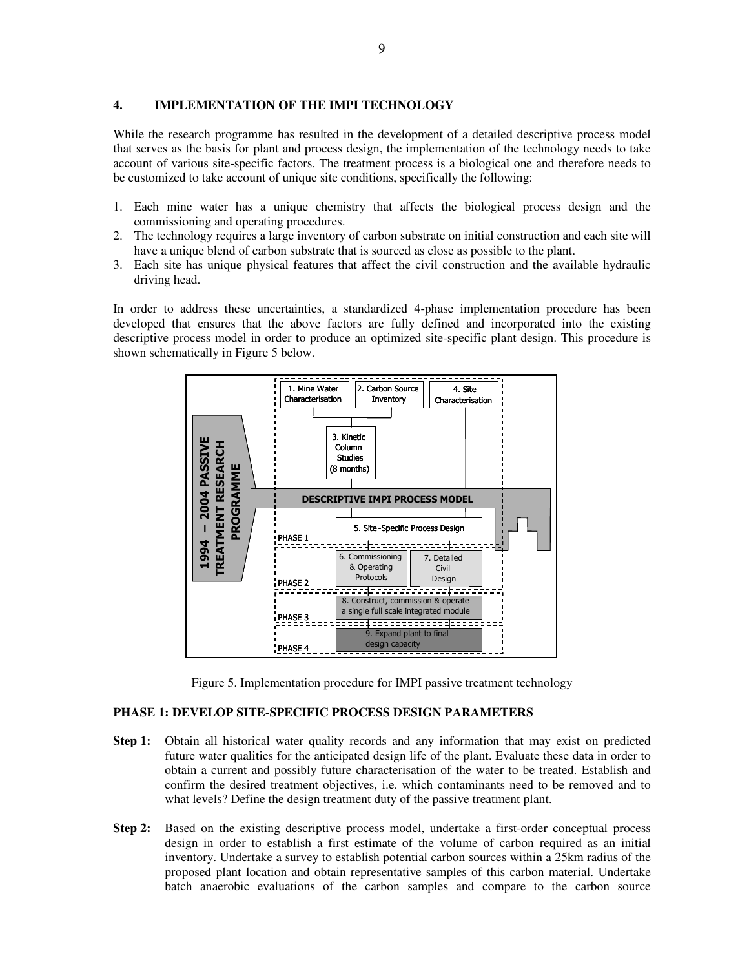#### **4. IMPLEMENTATION OF THE IMPI TECHNOLOGY**

While the research programme has resulted in the development of a detailed descriptive process model that serves as the basis for plant and process design, the implementation of the technology needs to take account of various site-specific factors. The treatment process is a biological one and therefore needs to be customized to take account of unique site conditions, specifically the following:

- 1. Each mine water has a unique chemistry that affects the biological process design and the commissioning and operating procedures.
- 2. The technology requires a large inventory of carbon substrate on initial construction and each site will have a unique blend of carbon substrate that is sourced as close as possible to the plant.
- 3. Each site has unique physical features that affect the civil construction and the available hydraulic driving head.

In order to address these uncertainties, a standardized 4-phase implementation procedure has been developed that ensures that the above factors are fully defined and incorporated into the existing descriptive process model in order to produce an optimized site-specific plant design. This procedure is shown schematically in Figure 5 below.



Figure 5. Implementation procedure for IMPI passive treatment technology

#### **PHASE 1: DEVELOP SITE-SPECIFIC PROCESS DESIGN PARAMETERS**

- **Step 1:** Obtain all historical water quality records and any information that may exist on predicted future water qualities for the anticipated design life of the plant. Evaluate these data in order to obtain a current and possibly future characterisation of the water to be treated. Establish and confirm the desired treatment objectives, i.e. which contaminants need to be removed and to what levels? Define the design treatment duty of the passive treatment plant.
- **Step 2:** Based on the existing descriptive process model, undertake a first-order conceptual process design in order to establish a first estimate of the volume of carbon required as an initial inventory. Undertake a survey to establish potential carbon sources within a 25km radius of the proposed plant location and obtain representative samples of this carbon material. Undertake batch anaerobic evaluations of the carbon samples and compare to the carbon source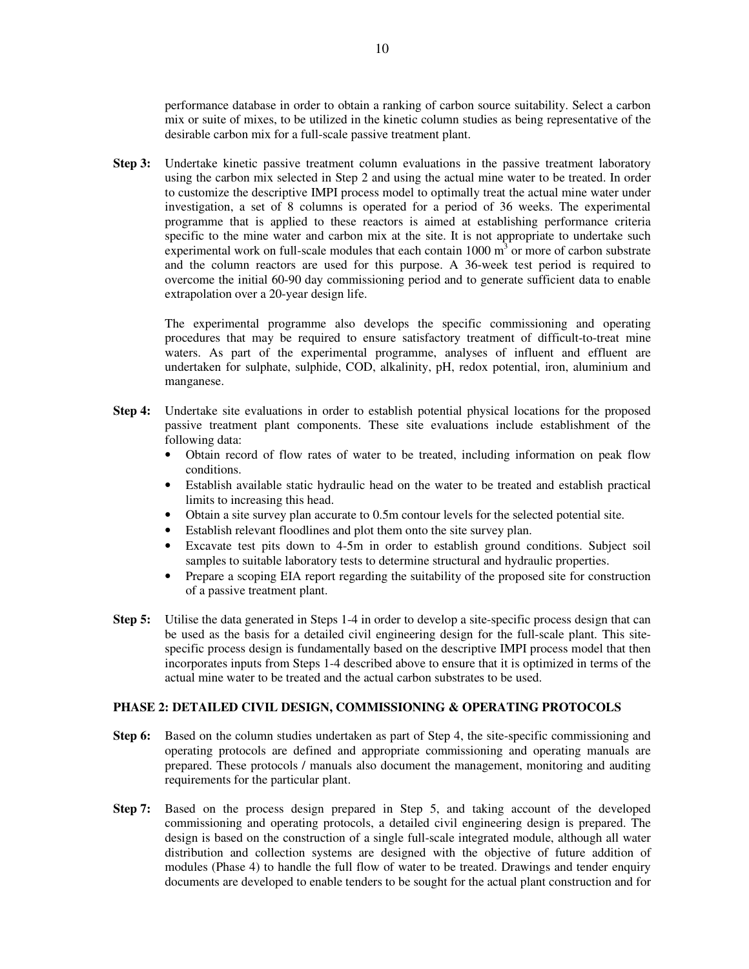performance database in order to obtain a ranking of carbon source suitability. Select a carbon mix or suite of mixes, to be utilized in the kinetic column studies as being representative of the desirable carbon mix for a full-scale passive treatment plant.

**Step 3:** Undertake kinetic passive treatment column evaluations in the passive treatment laboratory using the carbon mix selected in Step 2 and using the actual mine water to be treated. In order to customize the descriptive IMPI process model to optimally treat the actual mine water under investigation, a set of 8 columns is operated for a period of 36 weeks. The experimental programme that is applied to these reactors is aimed at establishing performance criteria specific to the mine water and carbon mix at the site. It is not appropriate to undertake such experimental work on full-scale modules that each contain  $1000 \text{ m}^3$  or more of carbon substrate and the column reactors are used for this purpose. A 36-week test period is required to overcome the initial 60-90 day commissioning period and to generate sufficient data to enable extrapolation over a 20-year design life.

The experimental programme also develops the specific commissioning and operating procedures that may be required to ensure satisfactory treatment of difficult-to-treat mine waters. As part of the experimental programme, analyses of influent and effluent are undertaken for sulphate, sulphide, COD, alkalinity, pH, redox potential, iron, aluminium and manganese.

- **Step 4:** Undertake site evaluations in order to establish potential physical locations for the proposed passive treatment plant components. These site evaluations include establishment of the following data:
	- Obtain record of flow rates of water to be treated, including information on peak flow conditions.
	- Establish available static hydraulic head on the water to be treated and establish practical limits to increasing this head.
	- Obtain a site survey plan accurate to 0.5m contour levels for the selected potential site.
	- Establish relevant floodlines and plot them onto the site survey plan.
	- Excavate test pits down to 4-5m in order to establish ground conditions. Subject soil samples to suitable laboratory tests to determine structural and hydraulic properties.
	- Prepare a scoping EIA report regarding the suitability of the proposed site for construction of a passive treatment plant.
- **Step 5:** Utilise the data generated in Steps 1-4 in order to develop a site-specific process design that can be used as the basis for a detailed civil engineering design for the full-scale plant. This sitespecific process design is fundamentally based on the descriptive IMPI process model that then incorporates inputs from Steps 1-4 described above to ensure that it is optimized in terms of the actual mine water to be treated and the actual carbon substrates to be used.

#### **PHASE 2: DETAILED CIVIL DESIGN, COMMISSIONING & OPERATING PROTOCOLS**

- **Step 6:** Based on the column studies undertaken as part of Step 4, the site-specific commissioning and operating protocols are defined and appropriate commissioning and operating manuals are prepared. These protocols / manuals also document the management, monitoring and auditing requirements for the particular plant.
- **Step 7:** Based on the process design prepared in Step 5, and taking account of the developed commissioning and operating protocols, a detailed civil engineering design is prepared. The design is based on the construction of a single full-scale integrated module, although all water distribution and collection systems are designed with the objective of future addition of modules (Phase 4) to handle the full flow of water to be treated. Drawings and tender enquiry documents are developed to enable tenders to be sought for the actual plant construction and for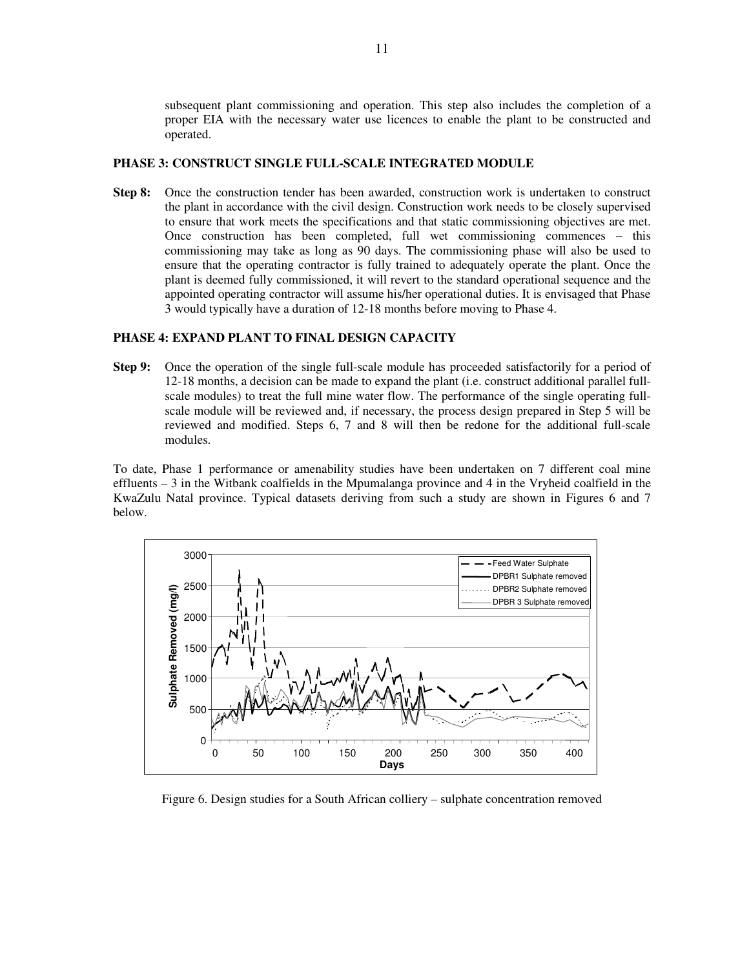subsequent plant commissioning and operation. This step also includes the completion of a proper EIA with the necessary water use licences to enable the plant to be constructed and operated.

### **PHASE 3: CONSTRUCT SINGLE FULL-SCALE INTEGRATED MODULE**

**Step 8:** Once the construction tender has been awarded, construction work is undertaken to construct the plant in accordance with the civil design. Construction work needs to be closely supervised to ensure that work meets the specifications and that static commissioning objectives are met. Once construction has been completed, full wet commissioning commences – this commissioning may take as long as 90 days. The commissioning phase will also be used to ensure that the operating contractor is fully trained to adequately operate the plant. Once the plant is deemed fully commissioned, it will revert to the standard operational sequence and the appointed operating contractor will assume his/her operational duties. It is envisaged that Phase 3 would typically have a duration of 12-18 months before moving to Phase 4.

## **PHASE 4: EXPAND PLANT TO FINAL DESIGN CAPACITY**

**Step 9:** Once the operation of the single full-scale module has proceeded satisfactorily for a period of 12-18 months, a decision can be made to expand the plant (i.e. construct additional parallel fullscale modules) to treat the full mine water flow. The performance of the single operating fullscale module will be reviewed and, if necessary, the process design prepared in Step 5 will be reviewed and modified. Steps 6, 7 and 8 will then be redone for the additional full-scale modules.

To date, Phase 1 performance or amenability studies have been undertaken on 7 different coal mine effluents – 3 in the Witbank coalfields in the Mpumalanga province and 4 in the Vryheid coalfield in the KwaZulu Natal province. Typical datasets deriving from such a study are shown in Figures 6 and 7 below.



Figure 6. Design studies for a South African colliery – sulphate concentration removed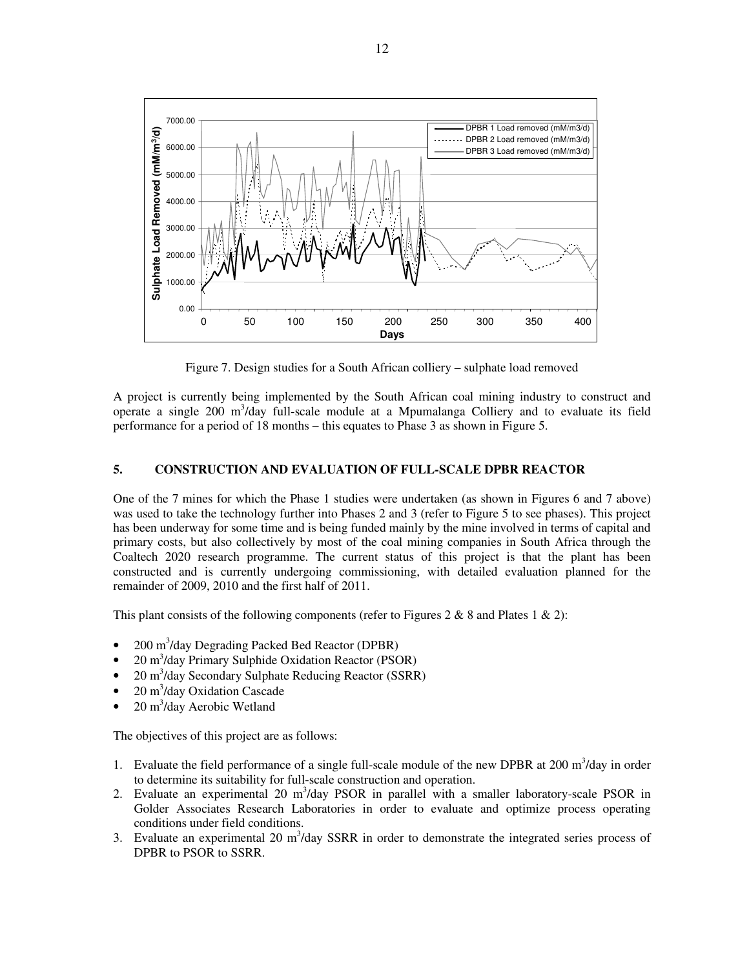

Figure 7. Design studies for a South African colliery – sulphate load removed

A project is currently being implemented by the South African coal mining industry to construct and operate a single 200  $m^3$ /day full-scale module at a Mpumalanga Colliery and to evaluate its field performance for a period of 18 months – this equates to Phase 3 as shown in Figure 5.

#### **5. CONSTRUCTION AND EVALUATION OF FULL-SCALE DPBR REACTOR**

One of the 7 mines for which the Phase 1 studies were undertaken (as shown in Figures 6 and 7 above) was used to take the technology further into Phases 2 and 3 (refer to Figure 5 to see phases). This project has been underway for some time and is being funded mainly by the mine involved in terms of capital and primary costs, but also collectively by most of the coal mining companies in South Africa through the Coaltech 2020 research programme. The current status of this project is that the plant has been constructed and is currently undergoing commissioning, with detailed evaluation planned for the remainder of 2009, 2010 and the first half of 2011.

This plant consists of the following components (refer to Figures 2 & 8 and Plates 1 & 2):

- 200 m<sup>3</sup>/day Degrading Packed Bed Reactor (DPBR)
- 20 m<sup>3</sup>/day Primary Sulphide Oxidation Reactor (PSOR)
- 20 m<sup>3</sup>/day Secondary Sulphate Reducing Reactor (SSRR)
- 20  $\text{m}^3$ /day Oxidation Cascade
- 20  $\text{m}^3$ /day Aerobic Wetland

The objectives of this project are as follows:

- 1. Evaluate the field performance of a single full-scale module of the new DPBR at  $200 \text{ m}^3/\text{day}$  in order to determine its suitability for full-scale construction and operation.
- 2. Evaluate an experimental 20  $m^3$ /day PSOR in parallel with a smaller laboratory-scale PSOR in Golder Associates Research Laboratories in order to evaluate and optimize process operating conditions under field conditions.
- 3. Evaluate an experimental 20  $m<sup>3</sup>/day$  SSRR in order to demonstrate the integrated series process of DPBR to PSOR to SSRR.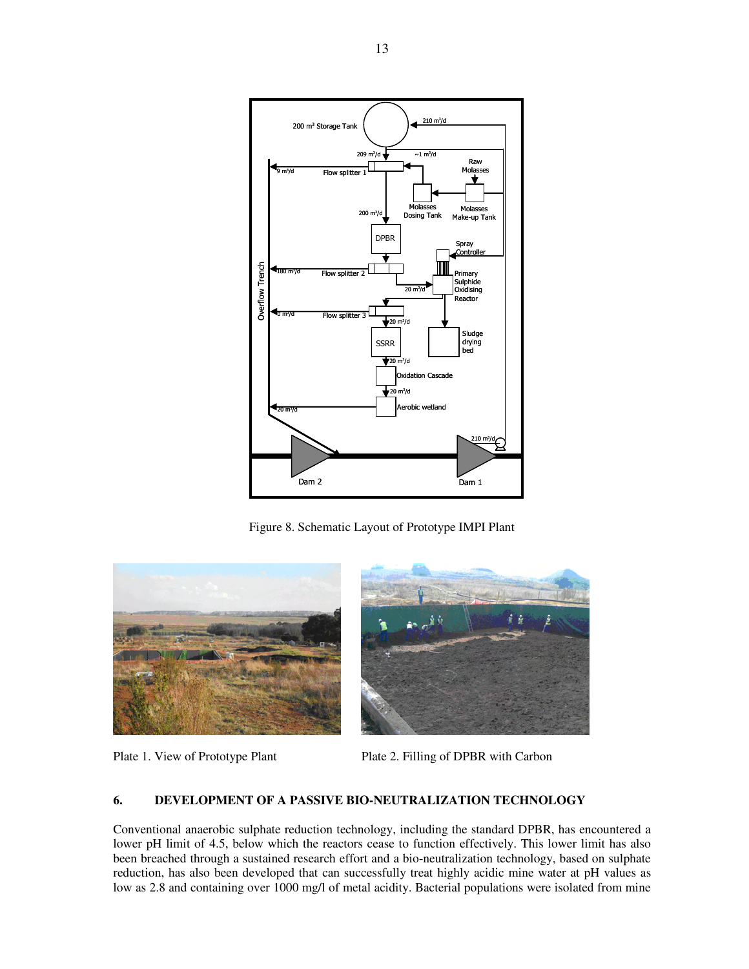

Figure 8. Schematic Layout of Prototype IMPI Plant



Plate 1. View of Prototype Plant Plate 2. Filling of DPBR with Carbon

# **6. DEVELOPMENT OF A PASSIVE BIO-NEUTRALIZATION TECHNOLOGY**

Conventional anaerobic sulphate reduction technology, including the standard DPBR, has encountered a lower pH limit of 4.5, below which the reactors cease to function effectively. This lower limit has also been breached through a sustained research effort and a bio-neutralization technology, based on sulphate reduction, has also been developed that can successfully treat highly acidic mine water at pH values as low as 2.8 and containing over 1000 mg/l of metal acidity. Bacterial populations were isolated from mine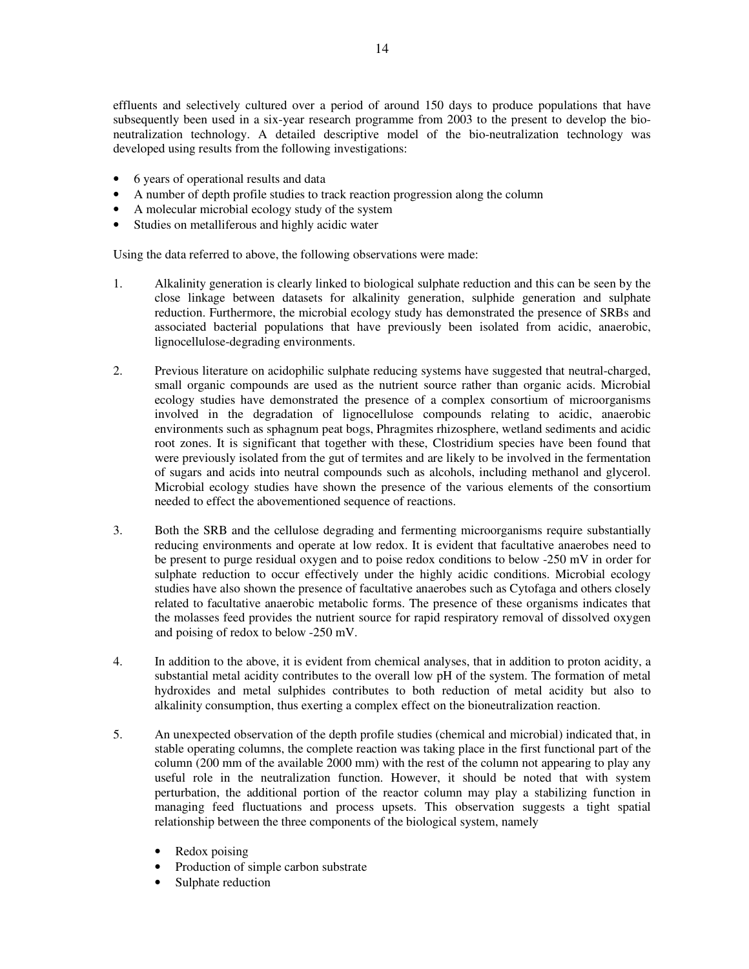effluents and selectively cultured over a period of around 150 days to produce populations that have subsequently been used in a six-year research programme from 2003 to the present to develop the bioneutralization technology. A detailed descriptive model of the bio-neutralization technology was developed using results from the following investigations:

- 6 years of operational results and data
- A number of depth profile studies to track reaction progression along the column
- A molecular microbial ecology study of the system
- Studies on metalliferous and highly acidic water

Using the data referred to above, the following observations were made:

- 1. Alkalinity generation is clearly linked to biological sulphate reduction and this can be seen by the close linkage between datasets for alkalinity generation, sulphide generation and sulphate reduction. Furthermore, the microbial ecology study has demonstrated the presence of SRBs and associated bacterial populations that have previously been isolated from acidic, anaerobic, lignocellulose-degrading environments.
- 2. Previous literature on acidophilic sulphate reducing systems have suggested that neutral-charged, small organic compounds are used as the nutrient source rather than organic acids. Microbial ecology studies have demonstrated the presence of a complex consortium of microorganisms involved in the degradation of lignocellulose compounds relating to acidic, anaerobic environments such as sphagnum peat bogs, Phragmites rhizosphere, wetland sediments and acidic root zones. It is significant that together with these, Clostridium species have been found that were previously isolated from the gut of termites and are likely to be involved in the fermentation of sugars and acids into neutral compounds such as alcohols, including methanol and glycerol. Microbial ecology studies have shown the presence of the various elements of the consortium needed to effect the abovementioned sequence of reactions.
- 3. Both the SRB and the cellulose degrading and fermenting microorganisms require substantially reducing environments and operate at low redox. It is evident that facultative anaerobes need to be present to purge residual oxygen and to poise redox conditions to below -250 mV in order for sulphate reduction to occur effectively under the highly acidic conditions. Microbial ecology studies have also shown the presence of facultative anaerobes such as Cytofaga and others closely related to facultative anaerobic metabolic forms. The presence of these organisms indicates that the molasses feed provides the nutrient source for rapid respiratory removal of dissolved oxygen and poising of redox to below -250 mV.
- 4. In addition to the above, it is evident from chemical analyses, that in addition to proton acidity, a substantial metal acidity contributes to the overall low pH of the system. The formation of metal hydroxides and metal sulphides contributes to both reduction of metal acidity but also to alkalinity consumption, thus exerting a complex effect on the bioneutralization reaction.
- 5. An unexpected observation of the depth profile studies (chemical and microbial) indicated that, in stable operating columns, the complete reaction was taking place in the first functional part of the column (200 mm of the available 2000 mm) with the rest of the column not appearing to play any useful role in the neutralization function. However, it should be noted that with system perturbation, the additional portion of the reactor column may play a stabilizing function in managing feed fluctuations and process upsets. This observation suggests a tight spatial relationship between the three components of the biological system, namely
	- Redox poising
	- Production of simple carbon substrate
	- Sulphate reduction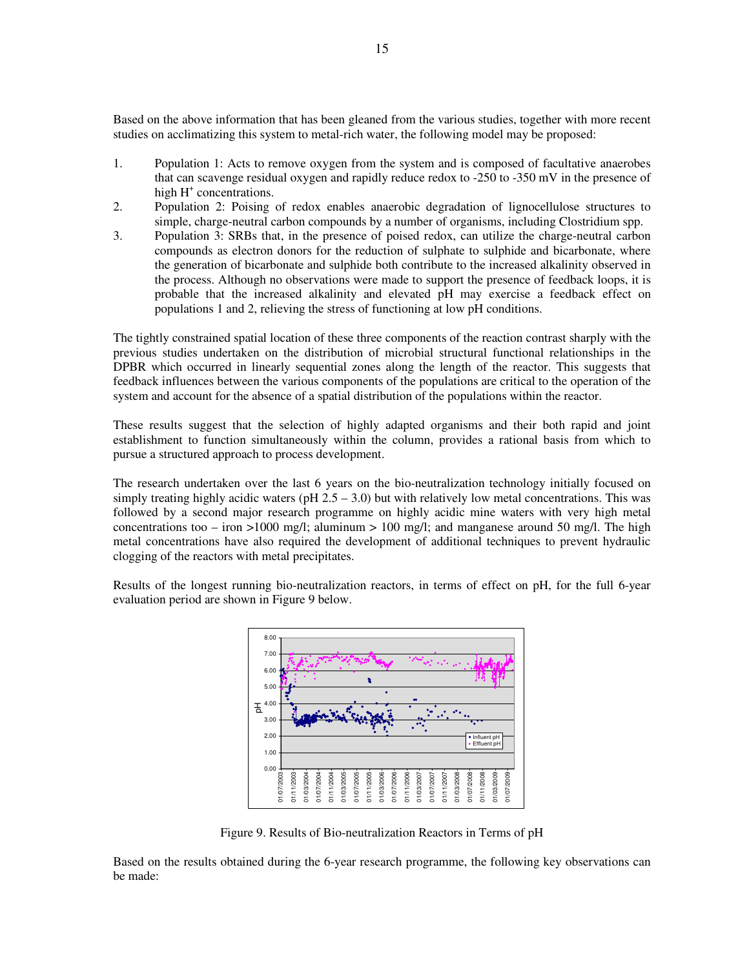Based on the above information that has been gleaned from the various studies, together with more recent studies on acclimatizing this system to metal-rich water, the following model may be proposed:

- 1. Population 1: Acts to remove oxygen from the system and is composed of facultative anaerobes that can scavenge residual oxygen and rapidly reduce redox to -250 to -350 mV in the presence of high H<sup>+</sup> concentrations.
- 2. Population 2: Poising of redox enables anaerobic degradation of lignocellulose structures to simple, charge-neutral carbon compounds by a number of organisms, including Clostridium spp.
- 3. Population 3: SRBs that, in the presence of poised redox, can utilize the charge-neutral carbon compounds as electron donors for the reduction of sulphate to sulphide and bicarbonate, where the generation of bicarbonate and sulphide both contribute to the increased alkalinity observed in the process. Although no observations were made to support the presence of feedback loops, it is probable that the increased alkalinity and elevated pH may exercise a feedback effect on populations 1 and 2, relieving the stress of functioning at low pH conditions.

The tightly constrained spatial location of these three components of the reaction contrast sharply with the previous studies undertaken on the distribution of microbial structural functional relationships in the DPBR which occurred in linearly sequential zones along the length of the reactor. This suggests that feedback influences between the various components of the populations are critical to the operation of the system and account for the absence of a spatial distribution of the populations within the reactor.

These results suggest that the selection of highly adapted organisms and their both rapid and joint establishment to function simultaneously within the column, provides a rational basis from which to pursue a structured approach to process development.

The research undertaken over the last 6 years on the bio-neutralization technology initially focused on simply treating highly acidic waters (pH  $2.5 - 3.0$ ) but with relatively low metal concentrations. This was followed by a second major research programme on highly acidic mine waters with very high metal concentrations too – iron >1000 mg/l; aluminum > 100 mg/l; and manganese around 50 mg/l. The high metal concentrations have also required the development of additional techniques to prevent hydraulic clogging of the reactors with metal precipitates.

Results of the longest running bio-neutralization reactors, in terms of effect on pH, for the full 6-year evaluation period are shown in Figure 9 below.



Figure 9. Results of Bio-neutralization Reactors in Terms of pH

Based on the results obtained during the 6-year research programme, the following key observations can be made: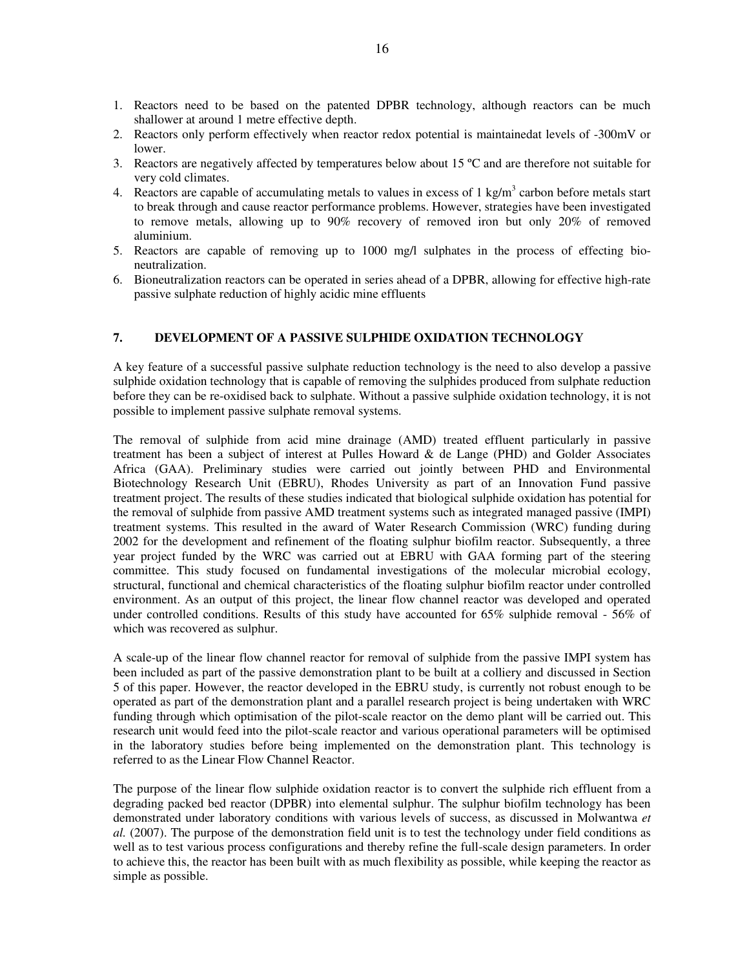- 1. Reactors need to be based on the patented DPBR technology, although reactors can be much shallower at around 1 metre effective depth.
- 2. Reactors only perform effectively when reactor redox potential is maintainedat levels of -300mV or lower.
- 3. Reactors are negatively affected by temperatures below about 15 ºC and are therefore not suitable for very cold climates.
- 4. Reactors are capable of accumulating metals to values in excess of  $1 \text{ kg/m}^3$  carbon before metals start to break through and cause reactor performance problems. However, strategies have been investigated to remove metals, allowing up to 90% recovery of removed iron but only 20% of removed aluminium.
- 5. Reactors are capable of removing up to 1000 mg/l sulphates in the process of effecting bioneutralization.
- 6. Bioneutralization reactors can be operated in series ahead of a DPBR, allowing for effective high-rate passive sulphate reduction of highly acidic mine effluents

# **7. DEVELOPMENT OF A PASSIVE SULPHIDE OXIDATION TECHNOLOGY**

A key feature of a successful passive sulphate reduction technology is the need to also develop a passive sulphide oxidation technology that is capable of removing the sulphides produced from sulphate reduction before they can be re-oxidised back to sulphate. Without a passive sulphide oxidation technology, it is not possible to implement passive sulphate removal systems.

The removal of sulphide from acid mine drainage (AMD) treated effluent particularly in passive treatment has been a subject of interest at Pulles Howard & de Lange (PHD) and Golder Associates Africa (GAA). Preliminary studies were carried out jointly between PHD and Environmental Biotechnology Research Unit (EBRU), Rhodes University as part of an Innovation Fund passive treatment project. The results of these studies indicated that biological sulphide oxidation has potential for the removal of sulphide from passive AMD treatment systems such as integrated managed passive (IMPI) treatment systems. This resulted in the award of Water Research Commission (WRC) funding during 2002 for the development and refinement of the floating sulphur biofilm reactor. Subsequently, a three year project funded by the WRC was carried out at EBRU with GAA forming part of the steering committee. This study focused on fundamental investigations of the molecular microbial ecology, structural, functional and chemical characteristics of the floating sulphur biofilm reactor under controlled environment. As an output of this project, the linear flow channel reactor was developed and operated under controlled conditions. Results of this study have accounted for 65% sulphide removal - 56% of which was recovered as sulphur.

A scale-up of the linear flow channel reactor for removal of sulphide from the passive IMPI system has been included as part of the passive demonstration plant to be built at a colliery and discussed in Section 5 of this paper. However, the reactor developed in the EBRU study, is currently not robust enough to be operated as part of the demonstration plant and a parallel research project is being undertaken with WRC funding through which optimisation of the pilot-scale reactor on the demo plant will be carried out. This research unit would feed into the pilot-scale reactor and various operational parameters will be optimised in the laboratory studies before being implemented on the demonstration plant. This technology is referred to as the Linear Flow Channel Reactor.

The purpose of the linear flow sulphide oxidation reactor is to convert the sulphide rich effluent from a degrading packed bed reactor (DPBR) into elemental sulphur. The sulphur biofilm technology has been demonstrated under laboratory conditions with various levels of success, as discussed in Molwantwa *et al.* (2007). The purpose of the demonstration field unit is to test the technology under field conditions as well as to test various process configurations and thereby refine the full-scale design parameters. In order to achieve this, the reactor has been built with as much flexibility as possible, while keeping the reactor as simple as possible.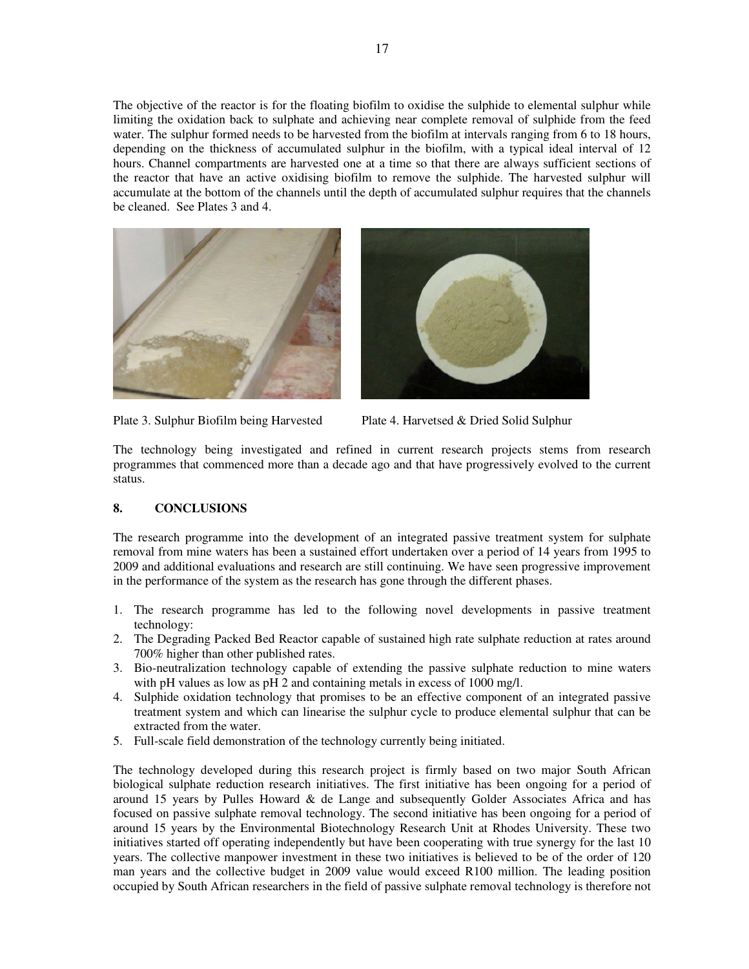The objective of the reactor is for the floating biofilm to oxidise the sulphide to elemental sulphur while limiting the oxidation back to sulphate and achieving near complete removal of sulphide from the feed water. The sulphur formed needs to be harvested from the biofilm at intervals ranging from 6 to 18 hours, depending on the thickness of accumulated sulphur in the biofilm, with a typical ideal interval of 12 hours. Channel compartments are harvested one at a time so that there are always sufficient sections of the reactor that have an active oxidising biofilm to remove the sulphide. The harvested sulphur will accumulate at the bottom of the channels until the depth of accumulated sulphur requires that the channels be cleaned. See Plates 3 and 4.





Plate 3. Sulphur Biofilm being Harvested Plate 4. Harvetsed & Dried Solid Sulphur

The technology being investigated and refined in current research projects stems from research programmes that commenced more than a decade ago and that have progressively evolved to the current status.

### **8. CONCLUSIONS**

The research programme into the development of an integrated passive treatment system for sulphate removal from mine waters has been a sustained effort undertaken over a period of 14 years from 1995 to 2009 and additional evaluations and research are still continuing. We have seen progressive improvement in the performance of the system as the research has gone through the different phases.

- 1. The research programme has led to the following novel developments in passive treatment technology:
- 2. The Degrading Packed Bed Reactor capable of sustained high rate sulphate reduction at rates around 700% higher than other published rates.
- 3. Bio-neutralization technology capable of extending the passive sulphate reduction to mine waters with pH values as low as pH 2 and containing metals in excess of 1000 mg/l.
- 4. Sulphide oxidation technology that promises to be an effective component of an integrated passive treatment system and which can linearise the sulphur cycle to produce elemental sulphur that can be extracted from the water.
- 5. Full-scale field demonstration of the technology currently being initiated.

The technology developed during this research project is firmly based on two major South African biological sulphate reduction research initiatives. The first initiative has been ongoing for a period of around 15 years by Pulles Howard & de Lange and subsequently Golder Associates Africa and has focused on passive sulphate removal technology. The second initiative has been ongoing for a period of around 15 years by the Environmental Biotechnology Research Unit at Rhodes University. These two initiatives started off operating independently but have been cooperating with true synergy for the last 10 years. The collective manpower investment in these two initiatives is believed to be of the order of 120 man years and the collective budget in 2009 value would exceed R100 million. The leading position occupied by South African researchers in the field of passive sulphate removal technology is therefore not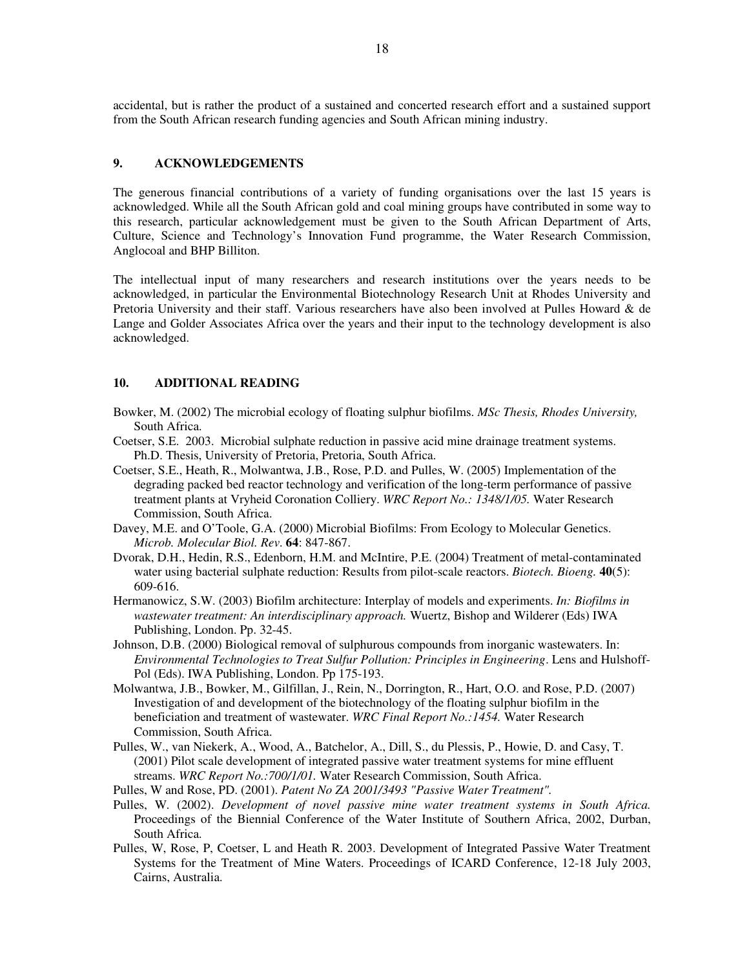accidental, but is rather the product of a sustained and concerted research effort and a sustained support from the South African research funding agencies and South African mining industry.

# **9. ACKNOWLEDGEMENTS**

The generous financial contributions of a variety of funding organisations over the last 15 years is acknowledged. While all the South African gold and coal mining groups have contributed in some way to this research, particular acknowledgement must be given to the South African Department of Arts, Culture, Science and Technology's Innovation Fund programme, the Water Research Commission, Anglocoal and BHP Billiton.

The intellectual input of many researchers and research institutions over the years needs to be acknowledged, in particular the Environmental Biotechnology Research Unit at Rhodes University and Pretoria University and their staff. Various researchers have also been involved at Pulles Howard & de Lange and Golder Associates Africa over the years and their input to the technology development is also acknowledged.

# **10. ADDITIONAL READING**

- Bowker, M. (2002) The microbial ecology of floating sulphur biofilms. *MSc Thesis, Rhodes University,* South Africa.
- Coetser, S.E. 2003. Microbial sulphate reduction in passive acid mine drainage treatment systems. Ph.D. Thesis, University of Pretoria, Pretoria, South Africa.
- Coetser, S.E., Heath, R., Molwantwa, J.B., Rose, P.D. and Pulles, W. (2005) Implementation of the degrading packed bed reactor technology and verification of the long-term performance of passive treatment plants at Vryheid Coronation Colliery. *WRC Report No.: 1348/1/05.* Water Research Commission, South Africa.
- Davey, M.E. and O'Toole, G.A. (2000) Microbial Biofilms: From Ecology to Molecular Genetics. *Microb. Molecular Biol. Rev*. **64**: 847-867.
- Dvorak, D.H., Hedin, R.S., Edenborn, H.M. and McIntire, P.E. (2004) Treatment of metal-contaminated water using bacterial sulphate reduction: Results from pilot-scale reactors. *Biotech. Bioeng.* **40**(5): 609-616.
- Hermanowicz, S.W. (2003) Biofilm architecture: Interplay of models and experiments. *In: Biofilms in wastewater treatment: An interdisciplinary approach.* Wuertz, Bishop and Wilderer (Eds) IWA Publishing, London. Pp. 32-45.
- Johnson, D.B. (2000) Biological removal of sulphurous compounds from inorganic wastewaters. In: *Environmental Technologies to Treat Sulfur Pollution: Principles in Engineering*. Lens and Hulshoff-Pol (Eds). IWA Publishing, London. Pp 175-193.
- Molwantwa, J.B., Bowker, M., Gilfillan, J., Rein, N., Dorrington, R., Hart, O.O. and Rose, P.D. (2007) Investigation of and development of the biotechnology of the floating sulphur biofilm in the beneficiation and treatment of wastewater. *WRC Final Report No.:1454.* Water Research Commission, South Africa.
- Pulles, W., van Niekerk, A., Wood, A., Batchelor, A., Dill, S., du Plessis, P., Howie, D. and Casy, T. (2001) Pilot scale development of integrated passive water treatment systems for mine effluent streams. *WRC Report No.:700/1/01.* Water Research Commission, South Africa.

Pulles, W and Rose, PD. (2001). *Patent No ZA 2001/3493 "Passive Water Treatment".*

- Pulles, W. (2002). *Development of novel passive mine water treatment systems in South Africa.* Proceedings of the Biennial Conference of the Water Institute of Southern Africa, 2002, Durban, South Africa.
- Pulles, W, Rose, P, Coetser, L and Heath R. 2003. Development of Integrated Passive Water Treatment Systems for the Treatment of Mine Waters. Proceedings of ICARD Conference, 12-18 July 2003, Cairns, Australia.